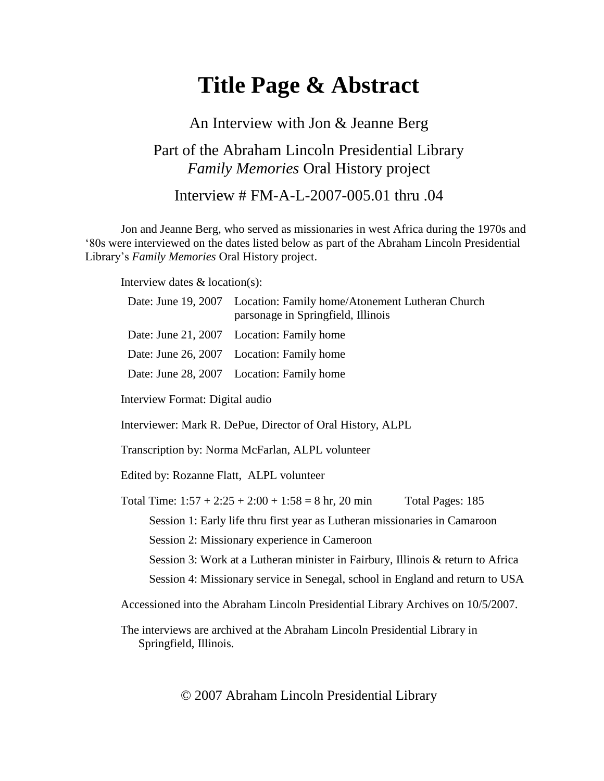# **Title Page & Abstract**

## An Interview with Jon & Jeanne Berg Part of the Abraham Lincoln Presidential Library *Family Memories* Oral History project Interview # FM-A-L-2007-005.01 thru .04

Jon and Jeanne Berg, who served as missionaries in west Africa during the 1970s and '80s were interviewed on the dates listed below as part of the Abraham Lincoln Presidential Library's *Family Memories* Oral History project.

Interview dates & location(s):

|                                                                                  | Date: June 19, 2007 Location: Family home/Atonement Lutheran Church<br>parsonage in Springfield, Illinois |                  |
|----------------------------------------------------------------------------------|-----------------------------------------------------------------------------------------------------------|------------------|
| Date: June 21, 2007                                                              | Location: Family home                                                                                     |                  |
| Date: June 26, 2007                                                              | Location: Family home                                                                                     |                  |
| Date: June 28, 2007                                                              | Location: Family home                                                                                     |                  |
| Interview Format: Digital audio                                                  |                                                                                                           |                  |
| Interviewer: Mark R. DePue, Director of Oral History, ALPL                       |                                                                                                           |                  |
| Transcription by: Norma McFarlan, ALPL volunteer                                 |                                                                                                           |                  |
| Edited by: Rozanne Flatt, ALPL volunteer                                         |                                                                                                           |                  |
|                                                                                  | Total Time: $1:57 + 2:25 + 2:00 + 1:58 = 8$ hr, 20 min                                                    | Total Pages: 185 |
| Session 1: Early life thru first year as Lutheran missionaries in Camaroon       |                                                                                                           |                  |
| Session 2: Missionary experience in Cameroon                                     |                                                                                                           |                  |
| Session 3: Work at a Lutheran minister in Fairbury, Illinois & return to Africa  |                                                                                                           |                  |
| Session 4: Missionary service in Senegal, school in England and return to USA    |                                                                                                           |                  |
| Accessioned into the Abraham Lincoln Presidential Library Archives on 10/5/2007. |                                                                                                           |                  |

The interviews are archived at the Abraham Lincoln Presidential Library in Springfield, Illinois.

© 2007 Abraham Lincoln Presidential Library